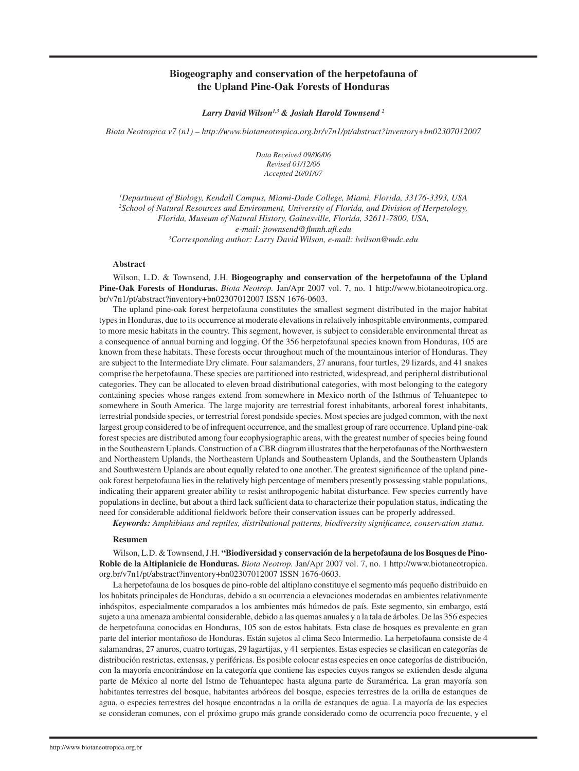# **Biogeography and conservation of the herpetofauna of the Upland Pine-Oak Forests of Honduras**

*Larry David Wilson1,3 & Josiah Harold Townsend 2*

*Biota Neotropica v7 (n1) – http://www.biotaneotropica.org.br/v7n1/pt/abstract?inventory+bn02307012007*

*Data Received 09/06/06 Revised 01/12/06 Accepted 20/01/07*

*1 Department of Biology, Kendall Campus, Miami-Dade College, Miami, Florida, 33176-3393, USA 2 School of Natural Resources and Environment, University of Florida, and Division of Herpetology, Florida, Museum of Natural History, Gainesville, Florida, 32611-7800, USA, e-mail: jtownsend@flmnh.ufl.edu 3 Corresponding author: Larry David Wilson, e-mail: lwilson@mdc.edu*

#### **Abstract**

Wilson, L.D. & Townsend, J.H. **Biogeography and conservation of the herpetofauna of the Upland Pine-Oak Forests of Honduras.** *Biota Neotrop.* Jan/Apr 2007 vol. 7, no. 1 http://www.biotaneotropica.org. br/v7n1/pt/abstract?inventory+bn02307012007 ISSN 1676-0603.

The upland pine-oak forest herpetofauna constitutes the smallest segment distributed in the major habitat types in Honduras, due to its occurrence at moderate elevations in relatively inhospitable environments, compared to more mesic habitats in the country. This segment, however, is subject to considerable environmental threat as a consequence of annual burning and logging. Of the 356 herpetofaunal species known from Honduras, 105 are known from these habitats. These forests occur throughout much of the mountainous interior of Honduras. They are subject to the Intermediate Dry climate. Four salamanders, 27 anurans, four turtles, 29 lizards, and 41 snakes comprise the herpetofauna. These species are partitioned into restricted, widespread, and peripheral distributional categories. They can be allocated to eleven broad distributional categories, with most belonging to the category containing species whose ranges extend from somewhere in Mexico north of the Isthmus of Tehuantepec to somewhere in South America. The large majority are terrestrial forest inhabitants, arboreal forest inhabitants, terrestrial pondside species, or terrestrial forest pondside species. Most species are judged common, with the next largest group considered to be of infrequent occurrence, and the smallest group of rare occurrence. Upland pine-oak forest species are distributed among four ecophysiographic areas, with the greatest number of species being found in the Southeastern Uplands. Construction of a CBR diagram illustrates that the herpetofaunas of the Northwestern and Northeastern Uplands, the Northeastern Uplands and Southeastern Uplands, and the Southeastern Uplands and Southwestern Uplands are about equally related to one another. The greatest significance of the upland pineoak forest herpetofauna lies in the relatively high percentage of members presently possessing stable populations, indicating their apparent greater ability to resist anthropogenic habitat disturbance. Few species currently have populations in decline, but about a third lack sufficient data to characterize their population status, indicating the need for considerable additional fieldwork before their conservation issues can be properly addressed.

*Keywords: Amphibians and reptiles, distributional patterns, biodiversity significance, conservation status.*

#### **Resumen**

Wilson, L.D. & Townsend, J.H. **"Biodiversidad y conservación de la herpetofauna de los Bosques de Pino-Roble de la Altiplanicie de Honduras.** *Biota Neotrop.* Jan/Apr 2007 vol. 7, no. 1 http://www.biotaneotropica. org.br/v7n1/pt/abstract?inventory+bn02307012007 ISSN 1676-0603.

La herpetofauna de los bosques de pino-roble del altiplano constituye el segmento más pequeño distribuido en los habitats principales de Honduras, debido a su ocurrencia a elevaciones moderadas en ambientes relativamente inhóspitos, especialmente comparados a los ambientes más húmedos de país. Este segmento, sin embargo, está sujeto a una amenaza ambiental considerable, debido a las quemas anuales y a la tala de árboles. De las 356 especies de herpetofauna conocidas en Honduras, 105 son de estos habitats. Esta clase de bosques es prevalente en gran parte del interior montañoso de Honduras. Están sujetos al clima Seco Intermedio. La herpetofauna consiste de 4 salamandras, 27 anuros, cuatro tortugas, 29 lagartijas, y 41 serpientes. Estas especies se clasifican en categorías de distribución restrictas, extensas, y periféricas. Es posible colocar estas especies en once categorías de distribución, con la mayoría encontrándose en la categoría que contiene las especies cuyos rangos se extienden desde alguna parte de México al norte del Istmo de Tehuantepec hasta alguna parte de Suramérica. La gran mayoría son habitantes terrestres del bosque, habitantes arbóreos del bosque, especies terrestres de la orilla de estanques de agua, o especies terrestres del bosque encontradas a la orilla de estanques de agua. La mayoría de las especies se consideran comunes, con el próximo grupo más grande considerado como de ocurrencia poco frecuente, y el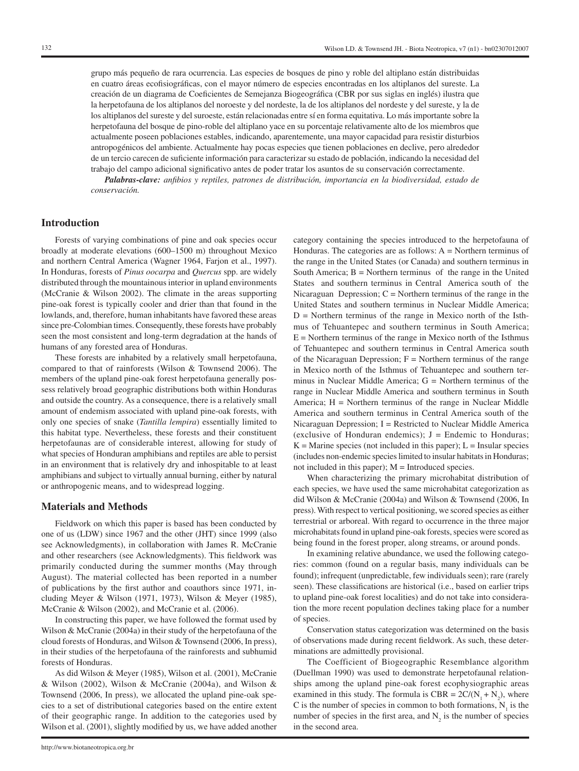grupo más pequeño de rara ocurrencia. Las especies de bosques de pino y roble del altiplano están distribuidas en cuatro áreas ecofisiográficas, con el mayor número de especies encontradas en los altiplanos del sureste. La creación de un diagrama de Coeficientes de Semejanza Biogeográfica (CBR por sus siglas en inglés) ilustra que la herpetofauna de los altiplanos del noroeste y del nordeste, la de los altiplanos del nordeste y del sureste, y la de los altiplanos del sureste y del suroeste, están relacionadas entre sí en forma equitativa. Lo más importante sobre la herpetofauna del bosque de pino-roble del altiplano yace en su porcentaje relativamente alto de los miembros que actualmente poseen poblaciones estables, indicando, aparentemente, una mayor capacidad para resistir disturbios antropogénicos del ambiente. Actualmente hay pocas especies que tienen poblaciones en declive, pero alrededor de un tercio carecen de suficiente información para caracterizar su estado de población, indicando la necesidad del trabajo del campo adicional significativo antes de poder tratar los asuntos de su conservación correctamente.

*Palabras-clave: anfibios y reptiles, patrones de distribución, importancia en la biodiversidad, estado de conservación.*

# **Introduction**

Forests of varying combinations of pine and oak species occur broadly at moderate elevations (600–1500 m) throughout Mexico and northern Central America (Wagner 1964, Farjon et al., 1997). In Honduras, forests of *Pinus oocarpa* and *Quercus* spp. are widely distributed through the mountainous interior in upland environments (McCranie & Wilson 2002). The climate in the areas supporting pine-oak forest is typically cooler and drier than that found in the lowlands, and, therefore, human inhabitants have favored these areas since pre-Colombian times. Consequently, these forests have probably seen the most consistent and long-term degradation at the hands of humans of any forested area of Honduras.

These forests are inhabited by a relatively small herpetofauna, compared to that of rainforests (Wilson & Townsend 2006). The members of the upland pine-oak forest herpetofauna generally possess relatively broad geographic distributions both within Honduras and outside the country. As a consequence, there is a relatively small amount of endemism associated with upland pine-oak forests, with only one species of snake (*Tantilla lempira*) essentially limited to this habitat type. Nevertheless, these forests and their constituent herpetofaunas are of considerable interest, allowing for study of what species of Honduran amphibians and reptiles are able to persist in an environment that is relatively dry and inhospitable to at least amphibians and subject to virtually annual burning, either by natural or anthropogenic means, and to widespread logging.

### **Materials and Methods**

Fieldwork on which this paper is based has been conducted by one of us (LDW) since 1967 and the other (JHT) since 1999 (also see Acknowledgments), in collaboration with James R. McCranie and other researchers (see Acknowledgments). This fieldwork was primarily conducted during the summer months (May through August). The material collected has been reported in a number of publications by the first author and coauthors since 1971, including Meyer & Wilson (1971, 1973), Wilson & Meyer (1985), McCranie & Wilson (2002), and McCranie et al. (2006).

In constructing this paper, we have followed the format used by Wilson & McCranie (2004a) in their study of the herpetofauna of the cloud forests of Honduras, and Wilson & Townsend (2006, In press), in their studies of the herpetofauna of the rainforests and subhumid forests of Honduras.

As did Wilson & Meyer (1985), Wilson et al. (2001), McCranie & Wilson (2002), Wilson & McCranie (2004a), and Wilson & Townsend (2006, In press), we allocated the upland pine-oak species to a set of distributional categories based on the entire extent of their geographic range. In addition to the categories used by Wilson et al. (2001), slightly modified by us, we have added another category containing the species introduced to the herpetofauna of Honduras. The categories are as follows:  $A =$  Northern terminus of the range in the United States (or Canada) and southern terminus in South America;  $B =$  Northern terminus of the range in the United States and southern terminus in Central America south of the Nicaraguan Depression;  $C =$  Northern terminus of the range in the United States and southern terminus in Nuclear Middle America;  $D =$  Northern terminus of the range in Mexico north of the Isthmus of Tehuantepec and southern terminus in South America;  $E =$  Northern terminus of the range in Mexico north of the Isthmus of Tehuantepec and southern terminus in Central America south of the Nicaraguan Depression;  $F =$  Northern terminus of the range in Mexico north of the Isthmus of Tehuantepec and southern terminus in Nuclear Middle America; G = Northern terminus of the range in Nuclear Middle America and southern terminus in South America; H = Northern terminus of the range in Nuclear Middle America and southern terminus in Central America south of the Nicaraguan Depression; I = Restricted to Nuclear Middle America (exclusive of Honduran endemics);  $J =$  Endemic to Honduras;  $K =$  Marine species (not included in this paper);  $L =$  Insular species (includes non-endemic species limited to insular habitats in Honduras; not included in this paper);  $M = Introduced$  species.

When characterizing the primary microhabitat distribution of each species, we have used the same microhabitat categorization as did Wilson & McCranie (2004a) and Wilson & Townsend (2006, In press). With respect to vertical positioning, we scored species as either terrestrial or arboreal. With regard to occurrence in the three major microhabitats found in upland pine-oak forests, species were scored as being found in the forest proper, along streams, or around ponds.

In examining relative abundance, we used the following categories: common (found on a regular basis, many individuals can be found); infrequent (unpredictable, few individuals seen); rare (rarely seen). These classifications are historical (i.e., based on earlier trips to upland pine-oak forest localities) and do not take into consideration the more recent population declines taking place for a number of species.

Conservation status categorization was determined on the basis of observations made during recent fieldwork. As such, these determinations are admittedly provisional.

The Coefficient of Biogeographic Resemblance algorithm (Duellman 1990) was used to demonstrate herpetofaunal relationships among the upland pine-oak forest ecophysiographic areas examined in this study. The formula is  $CBR = 2C/(N_1 + N_2)$ , where C is the number of species in common to both formations,  $N<sub>1</sub>$  is the number of species in the first area, and  $N_2$  is the number of species in the second area.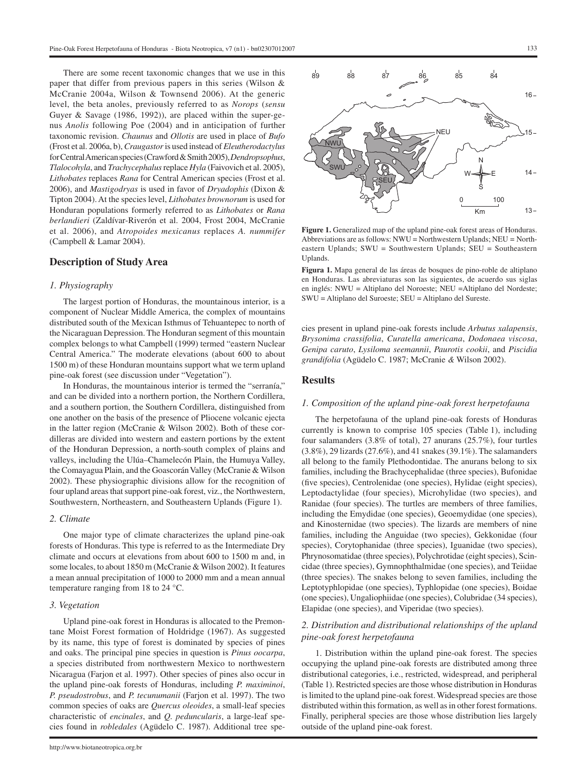There are some recent taxonomic changes that we use in this paper that differ from previous papers in this series (Wilson & McCranie 2004a, Wilson & Townsend 2006). At the generic level, the beta anoles, previously referred to as *Norops* (*sensu* Guyer & Savage (1986, 1992)), are placed within the super-genus *Anolis* following Poe (2004) and in anticipation of further taxonomic revision. *Chaunus* and *Ollotis* are used in place of *Bufo* (Frost et al. 2006a, b), *Craugastor* is used instead of *Eleutherodactylus* for Central American species (Crawford & Smith 2005), *Dendropsophus*, *Tlalocohyla*, and *Trachycephalus* replace *Hyla* (Faivovich et al. 2005), *Lithobates* replaces *Rana* for Central American species (Frost et al. 2006), and *Mastigodryas* is used in favor of *Dryadophis* (Dixon & Tipton 2004). At the species level, *Lithobates brownorum* is used for Honduran populations formerly referred to as *Lithobates* or *Rana berlandieri* (Zaldívar-Riverón et al. 2004, Frost 2004, McCranie et al. 2006), and *Atropoides mexicanus* replaces *A. nummifer*  (Campbell & Lamar 2004).

# **Description of Study Area**

# *1. Physiography*

The largest portion of Honduras, the mountainous interior, is a component of Nuclear Middle America, the complex of mountains distributed south of the Mexican Isthmus of Tehuantepec to north of the Nicaraguan Depression. The Honduran segment of this mountain complex belongs to what Campbell (1999) termed "eastern Nuclear Central America." The moderate elevations (about 600 to about 1500 m) of these Honduran mountains support what we term upland pine-oak forest (see discussion under "Vegetation").

In Honduras, the mountainous interior is termed the "serranía," and can be divided into a northern portion, the Northern Cordillera, and a southern portion, the Southern Cordillera, distinguished from one another on the basis of the presence of Pliocene volcanic ejecta in the latter region (McCranie & Wilson 2002). Both of these cordilleras are divided into western and eastern portions by the extent of the Honduran Depression, a north-south complex of plains and valleys, including the Ulúa–Chamelecón Plain, the Humuya Valley, the Comayagua Plain, and the Goascorán Valley (McCranie & Wilson 2002). These physiographic divisions allow for the recognition of four upland areas that support pine-oak forest, viz., the Northwestern, Southwestern, Northeastern, and Southeastern Uplands (Figure 1).

### *2. Climate*

One major type of climate characterizes the upland pine-oak forests of Honduras. This type is referred to as the Intermediate Dry climate and occurs at elevations from about 600 to 1500 m and, in some locales, to about 1850 m (McCranie & Wilson 2002). It features a mean annual precipitation of 1000 to 2000 mm and a mean annual temperature ranging from 18 to 24 °C.

#### *3. Vegetation*

Upland pine-oak forest in Honduras is allocated to the Premontane Moist Forest formation of Holdridge (1967). As suggested by its name, this type of forest is dominated by species of pines and oaks. The principal pine species in question is *Pinus oocarpa*, a species distributed from northwestern Mexico to northwestern Nicaragua (Farjon et al. 1997). Other species of pines also occur in the upland pine-oak forests of Honduras, including *P. maximinoi*, *P. pseudostrobus*, and *P. tecunumanii* (Farjon et al. 1997). The two common species of oaks are *Quercus oleoides*, a small-leaf species characteristic of *encinales*, and *Q. peduncularis*, a large-leaf species found in *robledales* (Agüdelo C. 1987). Additional tree spe-





Figure 1. Generalized map of the upland pine-oak forest areas of Honduras. Abbreviations are as follows: NWU = Northwestern Uplands; NEU = Northeastern Uplands; SWU = Southwestern Uplands; SEU = Southeastern Uplands.

**Figura 1.** Mapa general de las áreas de bosques de pino-roble de altiplano en Honduras. Las abreviaturas son las siguientes, de acuerdo sus siglas en inglés: NWU = Altiplano del Noroeste; NEU =Altiplano del Nordeste; SWU = Altiplano del Suroeste; SEU = Altiplano del Sureste.

cies present in upland pine-oak forests include *Arbutus xalapensis*, *Brysonima crassifolia*, *Curatella americana*, *Dodonaea viscosa*, *Genipa caruto*, *Lysiloma seemannii*, *Paurotis cookii*, and *Piscidia grandifolia* (Agüdelo C. 1987; McCranie *&* Wilson 2002).

## **Results**

### *1. Composition of the upland pine-oak forest herpetofauna*

The herpetofauna of the upland pine-oak forests of Honduras currently is known to comprise 105 species (Table 1), including four salamanders (3.8% of total), 27 anurans (25.7%), four turtles (3.8%), 29 lizards (27.6%), and 41 snakes (39.1%). The salamanders all belong to the family Plethodontidae. The anurans belong to six families, including the Brachycephalidae (three species), Bufonidae (five species), Centrolenidae (one species), Hylidae (eight species), Leptodactylidae (four species), Microhylidae (two species), and Ranidae (four species). The turtles are members of three families, including the Emydidae (one species), Geoemydidae (one species), and Kinosternidae (two species). The lizards are members of nine families, including the Anguidae (two species), Gekkonidae (four species), Corytophanidae (three species), Iguanidae (two species), Phrynosomatidae (three species), Polychrotidae (eight species), Scincidae (three species), Gymnophthalmidae (one species), and Teiidae (three species). The snakes belong to seven families, including the Leptotyphlopidae (one species), Typhlopidae (one species), Boidae (one species), Ungaliophiidae (one species), Colubridae (34 species), Elapidae (one species), and Viperidae (two species).

# *2. Distribution and distributional relationships of the upland pine-oak forest herpetofauna*

1. Distribution within the upland pine-oak forest. The species occupying the upland pine-oak forests are distributed among three distributional categories, i.e., restricted, widespread, and peripheral (Table 1). Restricted species are those whose distribution in Honduras is limited to the upland pine-oak forest. Widespread species are those distributed within this formation, as well as in other forest formations. Finally, peripheral species are those whose distribution lies largely outside of the upland pine-oak forest.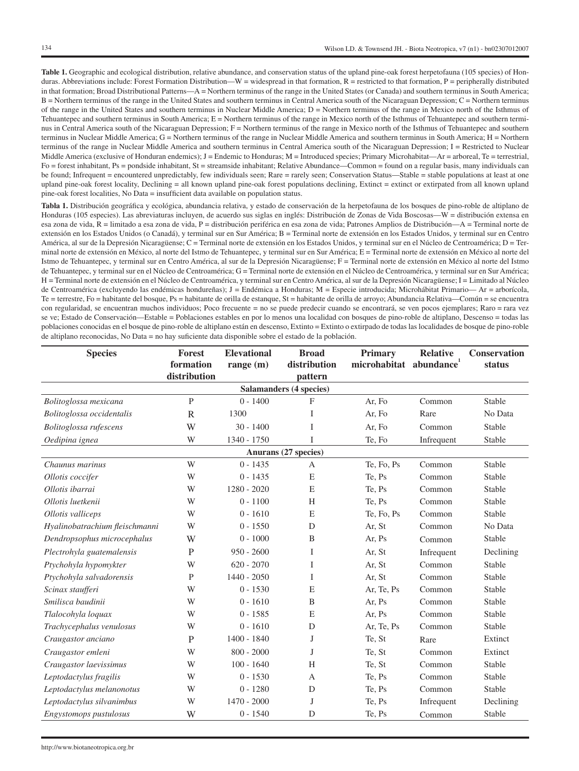Table 1. Geographic and ecological distribution, relative abundance, and conservation status of the upland pine-oak forest herpetofauna (105 species) of Honduras. Abbreviations include: Forest Formation Distribution—W = widespread in that formation, R = restricted to that formation, P = peripherally distributed in that formation; Broad Distributional Patterns—A = Northern terminus of the range in the United States (or Canada) and southern terminus in South America;  $B =$  Northern terminus of the range in the United States and southern terminus in Central America south of the Nicaraguan Depression;  $C =$  Northern terminus of the range in the United States and southern terminus in Nuclear Middle America; D = Northern terminus of the range in Mexico north of the Isthmus of Tehuantepec and southern terminus in South America; E = Northern terminus of the range in Mexico north of the Isthmus of Tehuantepec and southern terminus in Central America south of the Nicaraguan Depression; F = Northern terminus of the range in Mexico north of the Isthmus of Tehuantepec and southern terminus in Nuclear Middle America; G = Northern terminus of the range in Nuclear Middle America and southern terminus in South America; H = Northern terminus of the range in Nuclear Middle America and southern terminus in Central America south of the Nicaraguan Depression; I = Restricted to Nuclear Middle America (exclusive of Honduran endemics);  $J =$  Endemic to Honduras;  $M =$ Introduced species; Primary Microhabitat—Ar = arboreal, Te = terrestrial, Fo = forest inhabitant, Ps = pondside inhabitant, St = streamside inhabitant; Relative Abundance—Common = found on a regular basis, many individuals can be found; Infrequent = encountered unpredictably, few individuals seen; Rare = rarely seen; Conservation Status—Stable = stable populations at least at one upland pine-oak forest locality, Declining = all known upland pine-oak forest populations declining, Extinct = extinct or extirpated from all known upland pine-oak forest localities, No Data = insufficient data available on population status.

**Tabla 1.** Distribución geográfica y ecológica, abundancia relativa, y estado de conservación de la herpetofauna de los bosques de pino-roble de altiplano de Honduras (105 especies). Las abreviaturas incluyen, de acuerdo sus siglas en inglés: Distribución de Zonas de Vida Boscosas—W = distribución extensa en esa zona de vida, R = limitado a esa zona de vida, P = distribución periférica en esa zona de vida; Patrones Amplios de Distribución—A = Terminal norte de extensión en los Estados Unidos (o Canadá), y terminal sur en Sur América; B = Terminal norte de extensión en los Estados Unidos, y terminal sur en Centro América, al sur de la Depresión Nicaragüense; C = Terminal norte de extensión en los Estados Unidos, y terminal sur en el Núcleo de Centroamérica; D = Terminal norte de extensión en México, al norte del Istmo de Tehuantepec, y terminal sur en Sur América; E = Terminal norte de extensión en México al norte del Istmo de Tehuantepec, y terminal sur en Centro América, al sur de la Depresión Nicaragüense; F = Terminal norte de extensión en México al norte del Istmo de Tehuantepec, y terminal sur en el Núcleo de Centroamérica; G = Terminal norte de extensión en el Núcleo de Centroamérica, y terminal sur en Sur América; H = Terminal norte de extensión en el Núcleo de Centroamérica, y terminal sur en Centro América, al sur de la Depresión Nicaragüense; I = Limitado al Núcleo de Centroamérica (excluyendo las endémicas hondureñas); J = Endémica a Honduras; M = Especie introducida; Microhábitat Primario— Ar = arborícola, Te = terrestre, Fo = habitante del bosque, Ps = habitante de orilla de estanque, St = habitante de orilla de arroyo; Abundancia Relativa—Común = se encuentra con regularidad, se encuentran muchos individuos; Poco frecuente = no se puede predecir cuando se encontrará, se ven pocos ejemplares; Raro = rara vez se ve; Estado de Conservación—Estable = Poblaciones estables en por lo menos una localidad con bosques de pino-roble de altiplano, Descenso = todas las poblaciones conocidas en el bosque de pino-roble de altiplano están en descenso, Extinto = Extinto o extirpado de todas las localidades de bosque de pino-roble de altiplano reconocidas, No Data = no hay suficiente data disponible sobre el estado de la población.

| <b>Species</b>                 | <b>Forest</b> | <b>Elevational</b> | <b>Broad</b>                   | <b>Primary</b>                      | <b>Relative</b> | <b>Conservation</b> |
|--------------------------------|---------------|--------------------|--------------------------------|-------------------------------------|-----------------|---------------------|
|                                | formation     | range $(m)$        | distribution                   | microhabitat abundance <sup>1</sup> |                 | <b>status</b>       |
|                                | distribution  |                    | pattern                        |                                     |                 |                     |
|                                |               |                    | <b>Salamanders (4 species)</b> |                                     |                 |                     |
| Bolitoglossa mexicana          | $\mathbf{P}$  | $0 - 1400$         | F                              | Ar, Fo                              | Common          | Stable              |
| Bolitoglossa occidentalis      | $\mathsf{R}$  | 1300               | I                              | Ar, Fo                              | Rare            | No Data             |
| Bolitoglossa rufescens         | W             | $30 - 1400$        | T                              | Ar, Fo                              | Common          | Stable              |
| Oedipina ignea                 | W             | 1340 - 1750        | T                              | Te, Fo                              | Infrequent      | Stable              |
|                                |               |                    | Anurans (27 species)           |                                     |                 |                     |
| Chaunus marinus                | W             | $0 - 1435$         | A                              | Te, Fo, Ps                          | Common          | <b>Stable</b>       |
| Ollotis coccifer               | W             | $0 - 1435$         | E                              | Te, Ps                              | Common          | Stable              |
| Ollotis ibarrai                | W             | 1280 - 2020        | E                              | Te, Ps                              | Common          | Stable              |
| Ollotis luetkenii              | W             | $0 - 1100$         | H                              | Te, Ps                              | Common          | Stable              |
| Ollotis valliceps              | W             | $0 - 1610$         | E                              | Te, Fo, Ps                          | Common          | Stable              |
| Hyalinobatrachium fleischmanni | W             | $0 - 1550$         | D                              | Ar, St                              | Common          | No Data             |
| Dendropsophus microcephalus    | W             | $0 - 1000$         | B                              | Ar, Ps                              | Common          | Stable              |
| Plectrohyla guatemalensis      | P             | $950 - 2600$       | T                              | Ar, St                              | Infrequent      | Declining           |
| Ptychohyla hypomykter          | W             | $620 - 2070$       | I                              | Ar, St                              | Common          | Stable              |
| Ptychohyla salvadorensis       | $\mathbf{P}$  | $1440 - 2050$      | I                              | Ar, St                              | Common          | Stable              |
| Scinax staufferi               | W             | $0 - 1530$         | E                              | Ar, Te, Ps                          | Common          | Stable              |
| Smilisca baudinii              | W             | $0 - 1610$         | B                              | Ar, Ps                              | Common          | Stable              |
| Tlalocohyla loquax             | W             | $0 - 1585$         | E                              | Ar, Ps                              | Common          | Stable              |
| Trachycephalus venulosus       | W             | $0 - 1610$         | D                              | Ar, Te, Ps                          | Common          | Stable              |
| Craugastor anciano             | P             | 1400 - 1840        | J                              | Te, St                              | Rare            | Extinct             |
| Craugastor emleni              | W             | $800 - 2000$       | J                              | Te, St                              | Common          | Extinct             |
| Craugastor laevissimus         | W             | $100 - 1640$       | H                              | Te, St                              | Common          | Stable              |
| Leptodactylus fragilis         | W             | $0 - 1530$         | A                              | Te, Ps                              | Common          | Stable              |
| Leptodactylus melanonotus      | W             | $0 - 1280$         | D                              | Te, Ps                              | Common          | Stable              |
| Leptodactylus silvanimbus      | W             | $1470 - 2000$      | J                              | Te, Ps                              | Infrequent      | Declining           |
| Engystomops pustulosus         | W             | $0 - 1540$         | D                              | Te, Ps                              | Common          | Stable              |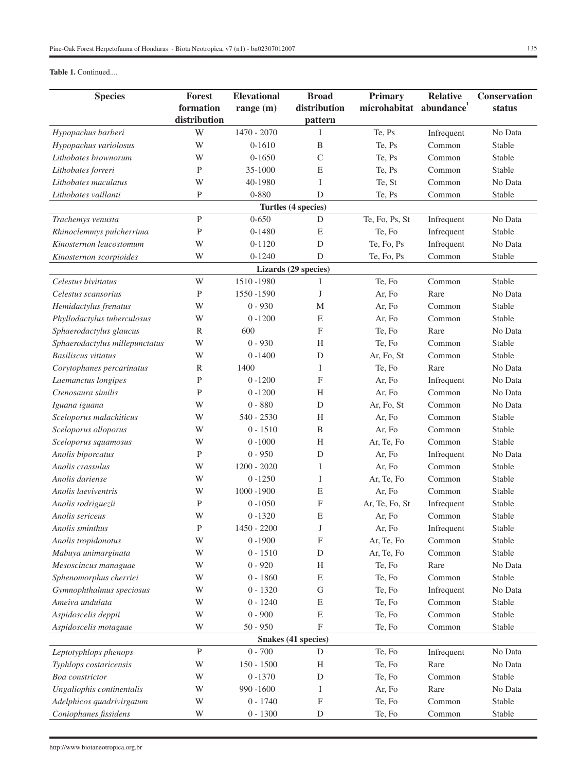## Table 1. Continued....

| <b>Species</b>                 | Forest                  | <b>Elevational</b> | <b>Broad</b>               | Primary                | <b>Relative</b> | <b>Conservation</b> |
|--------------------------------|-------------------------|--------------------|----------------------------|------------------------|-----------------|---------------------|
|                                | formation               | range $(m)$        | distribution               | microhabitat abundance |                 | status              |
|                                | distribution            |                    | pattern                    |                        |                 |                     |
| Hypopachus barberi             | W                       | 1470 - 2070        | Ι                          | Te, Ps                 | Infrequent      | No Data             |
| Hypopachus variolosus          | W                       | $0 - 1610$         | B                          | Te, Ps                 | Common          | Stable              |
| Lithobates brownorum           | W                       | $0 - 1650$         | $\mathcal{C}$              | Te, Ps                 | Common          | Stable              |
| Lithobates forreri             | $\mathbf P$             | 35-1000            | E                          | Te, Ps                 | Common          | Stable              |
| Lithobates maculatus           | W                       | 40-1980            | I                          | Te, St                 | Common          | No Data             |
| Lithobates vaillanti           | $\mathbf P$             | $0 - 880$          | D                          | Te, Ps                 | Common          | Stable              |
|                                |                         |                    | Turtles (4 species)        |                        |                 |                     |
| Trachemys venusta              | $\mathbf{P}$            | $0 - 650$          | D                          | Te, Fo, Ps, St         | Infrequent      | No Data             |
| Rhinoclemmys pulcherrima       | P                       | $0 - 1480$         | Ε                          | Te, Fo                 | Infrequent      | Stable              |
| Kinosternon leucostomum        | W                       | $0 - 1120$         | ${\bf D}$                  | Te, Fo, Ps             | Infrequent      | No Data             |
| Kinosternon scorpioides        | W                       | $0-1240$           | D                          | Te, Fo, Ps             | Common          | Stable              |
|                                |                         |                    | Lizards (29 species)       |                        |                 |                     |
| Celestus bivittatus            | W                       | 1510-1980          | Ι                          | Te, Fo                 | Common          | Stable              |
| Celestus scansorius            | $\mathbf{P}$            | 1550 - 1590        | J                          | Ar, Fo                 | Rare            | No Data             |
| Hemidactylus frenatus          | W                       | $0 - 930$          | М                          | Ar, Fo                 | Common          | Stable              |
| Phyllodactylus tuberculosus    | W                       | $0 - 1200$         | E                          | Ar, Fo                 | Common          | Stable              |
| Sphaerodactylus glaucus        | $\mathbb{R}$            | 600                | $\mathbf F$                | Te, Fo                 | Rare            | No Data             |
| Sphaerodactylus millepunctatus | W                       | $0 - 930$          | Н                          | Te, Fo                 | Common          | Stable              |
| Basiliscus vittatus            | W                       | $0 - 1400$         | D                          | Ar, Fo, St             | Common          | Stable              |
| Corytophanes percarinatus      | $\mathbb{R}$            | 1400               | Ι                          | Te, Fo                 | Rare            | No Data             |
| Laemanctus longipes            | $\mathbf P$             | $0 - 1200$         | $\mathbf F$                | Ar, Fo                 | Infrequent      | No Data             |
| Ctenosaura similis             | P                       | $0 - 1200$         | H                          | Ar, Fo                 | Common          | No Data             |
| Iguana iguana                  | W                       | $0 - 880$          | D                          | Ar, Fo, St             | Common          | No Data             |
| Sceloporus malachiticus        | W                       | 540 - 2530         | H                          | Ar, Fo                 | Common          | Stable              |
| Sceloporus olloporus           | W                       | $0 - 1510$         | $\, {\bf B}$               | Ar, Fo                 | Common          | Stable              |
| Sceloporus squamosus           | W                       | $0 - 1000$         | Н                          | Ar, Te, Fo             | Common          | Stable              |
| Anolis biporcatus              | P                       | $0 - 950$          | D                          | Ar, Fo                 | Infrequent      | No Data             |
| Anolis crassulus               | W                       | $1200 - 2020$      | Ι                          | Ar, Fo                 | Common          | Stable              |
| Anolis dariense                | W                       | $0 - 1250$         | Ι                          | Ar, Te, Fo             | Common          | Stable              |
| Anolis laeviventris            | W                       | 1000 -1900         | E                          | Ar, Fo                 | Common          | Stable              |
| Anolis rodriguezii             | $\mathbf{P}$            | $0 - 1050$         | $\mathbf{F}$               | Ar, Te, Fo, St         | Infrequent      | Stable              |
| Anolis sericeus                | W                       | $0 - 1320$         | E                          | Ar, Fo                 | Common          | Stable              |
| Anolis sminthus                | P                       | 1450 - 2200        | J                          | Ar, Fo                 | Infrequent      | Stable              |
| Anolis tropidonotus            | W                       | $0 - 1900$         | $\boldsymbol{\mathrm{F}}$  | Ar, Te, Fo             | Common          | Stable              |
| Mabuya unimarginata            | W                       | $0 - 1510$         | ${\rm D}$                  | Ar, Te, Fo             | Common          | Stable              |
| Mesoscincus managuae           | W                       | $0 - 920$          | H                          | Te, Fo                 | Rare            | No Data             |
| Sphenomorphus cherriei         | W                       | $0 - 1860$         | E                          | Te, Fo                 | Common          | Stable              |
| Gymnophthalmus speciosus       | W                       | $0 - 1320$         | ${\bf G}$                  | Te, Fo                 | Infrequent      | No Data             |
| Ameiva undulata                | W                       | $0 - 1240$         | E                          | Te, Fo                 | Common          | Stable              |
| Aspidoscelis deppii            | $\ensuremath{\text{W}}$ | $0 - 900$          | Ε                          | Te, Fo                 | Common          | Stable              |
| Aspidoscelis motaguae          | $\ensuremath{\text{W}}$ | $50 - 950$         | F                          | Te, Fo                 | Common          | Stable              |
|                                |                         |                    | <b>Snakes (41 species)</b> |                        |                 |                     |
| Leptotyphlops phenops          | ${\bf P}$               | $0 - 700$          | D                          | Te, Fo                 | Infrequent      | No Data             |
| Typhlops costaricensis         | W                       | $150 - 1500$       | H                          | Te, Fo                 | Rare            | No Data             |
| Boa constrictor                | W                       | $0 - 1370$         | D                          | Te, Fo                 | Common          | Stable              |
| Ungaliophis continentalis      | W                       | $990 - 1600$       | Ι                          | Ar, Fo                 | Rare            | No Data             |
| Adelphicos quadrivirgatum      | W                       | $0 - 1740$         | $\boldsymbol{\mathrm{F}}$  | Te, Fo                 | Common          | Stable              |
| Coniophanes fissidens          | W                       | $0 - 1300$         | D                          | Te, Fo                 | Common          | Stable              |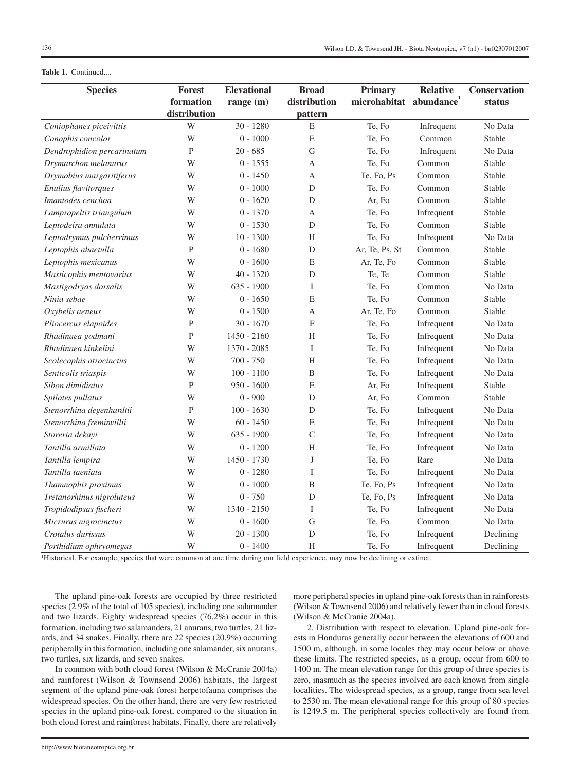#### Table 1. Continued....

| <b>Species</b>             | <b>Forest</b> | <b>Elevational</b> | <b>Broad</b>   | <b>Primary</b>         | <b>Relative</b> | <b>Conservation</b> |
|----------------------------|---------------|--------------------|----------------|------------------------|-----------------|---------------------|
|                            | formation     | range $(m)$        | distribution   | microhabitat abundance |                 | status              |
|                            | distribution  |                    | pattern        |                        |                 |                     |
| Coniophanes piceivittis    | W             | $30 - 1280$        | $\mathbf E$    | Te, Fo                 | Infrequent      | No Data             |
| Conophis concolor          | W             | $0 - 1000$         | $\overline{E}$ | Te, Fo                 | Common          | Stable              |
| Dendrophidion percarinatum | $\, {\bf P}$  | $20 - 685$         | G              | Te, Fo                 | Infrequent      | No Data             |
| Drymarchon melanurus       | W             | $0 - 1555$         | A              | Te, Fo                 | Common          | Stable              |
| Drymobius margaritiferus   | W             | $0 - 1450$         | A              | Te, Fo, Ps             | Common          | Stable              |
| Enulius flavitorques       | W             | $0 - 1000$         | D              | Te, Fo                 | Common          | Stable              |
| Imantodes cenchoa          | W             | $0 - 1620$         | D              | Ar, Fo                 | Common          | Stable              |
| Lampropeltis triangulum    | W             | $0 - 1370$         | A              | Te, Fo                 | Infrequent      | <b>Stable</b>       |
| Leptodeira annulata        | W             | $0 - 1530$         | D              | Te, Fo                 | Common          | Stable              |
| Leptodrymus pulcherrimus   | W             | $10 - 1300$        | H              | Te, Fo                 | Infrequent      | No Data             |
| Leptophis ahaetulla        | $\mathbf{P}$  | $0 - 1680$         | D              | Ar, Te, Ps, St         | Common          | Stable              |
| Leptophis mexicanus        | W             | $0 - 1600$         | E              | Ar, Te, Fo             | Common          | Stable              |
| Masticophis mentovarius    | W             | $40 - 1320$        | D              | Te, Te                 | Common          | Stable              |
| Mastigodryas dorsalis      | W             | $635 - 1900$       | I              | Te, Fo                 | Common          | No Data             |
| Ninia sebae                | W             | $0 - 1650$         | E              | Te, Fo                 | Common          | Stable              |
| Oxybelis aeneus            | W             | $0 - 1500$         | A              | Ar, Te, Fo             | Common          | Stable              |
| Pliocercus elapoides       | $\mathbf{P}$  | $30 - 1670$        | $\mathbf{F}$   | Te, Fo                 | Infrequent      | No Data             |
| Rhadinaea godmani          | $\mathbf{P}$  | $1450 - 2160$      | $\rm H$        | Te, Fo                 | Infrequent      | No Data             |
| Rhadinaea kinkelini        | W             | 1370 - 2085        | I              | Te, Fo                 | Infrequent      | No Data             |
| Scolecophis atrocinctus    | W             | $700 - 750$        | H              | Te, Fo                 | Infrequent      | No Data             |
| Senticolis triaspis        | W             | $100 - 1100$       | B              | Te, Fo                 | Infrequent      | No Data             |
| Sibon dimidiatus           | $\, {\bf P}$  | $950 - 1600$       | E              | Ar, Fo                 | Infrequent      | Stable              |
| Spilotes pullatus          | W             | $0 - 900$          | D              | Ar, Fo                 | Common          | Stable              |
| Stenorrhina degenhardtii   | $\, {\bf P}$  | $100 - 1630$       | D              | Te, Fo                 | Infrequent      | No Data             |
| Stenorrhina freminvillii   | W             | $60 - 1450$        | $\mathbf E$    | Te, Fo                 | Infrequent      | No Data             |
| Storeria dekayi            | W             | $635 - 1900$       | $\overline{C}$ | Te, Fo                 | Infrequent      | No Data             |
| Tantilla armillata         | W             | $0 - 1200$         | H              | Te, Fo                 | Infrequent      | No Data             |
| Tantilla lempira           | W             | $1450 - 1730$      | J              | Te, Fo                 | Rare            | No Data             |
| Tantilla taeniata          | W             | $0 - 1280$         | I              | Te, Fo                 | Infrequent      | No Data             |
| Thamnophis proximus        | W             | $0 - 1000$         | B              | Te, Fo, Ps             | Infrequent      | No Data             |
| Tretanorhinus nigroluteus  | W             | $0 - 750$          | D              | Te, Fo, Ps             | Infrequent      | No Data             |
| Tropidodipsas fischeri     | W             | 1340 - 2150        | I              | Te, Fo                 | Infrequent      | No Data             |
| Micrurus nigrocinctus      | W             | $0 - 1600$         | G              | Te, Fo                 | Common          | No Data             |
| Crotalus durissus          | W             | $20 - 1300$        | D              | Te, Fo                 | Infrequent      | Declining           |
| Porthidium ophryomegas     | W             | $0 - 1400$         | H              | Te, Fo                 | Infrequent      | Declining           |

1 Historical. For example, species that were common at one time during our field experience, may now be declining or extinct.

The upland pine-oak forests are occupied by three restricted species (2.9% of the total of 105 species), including one salamander and two lizards. Eighty widespread species (76.2%) occur in this formation, including two salamanders, 21 anurans, two turtles, 21 lizards, and 34 snakes. Finally, there are 22 species (20.9%) occurring peripherally in this formation, including one salamander, six anurans, two turtles, six lizards, and seven snakes.

In common with both cloud forest (Wilson & McCranie 2004a) and rainforest (Wilson & Townsend 2006) habitats, the largest segment of the upland pine-oak forest herpetofauna comprises the widespread species. On the other hand, there are very few restricted species in the upland pine-oak forest, compared to the situation in both cloud forest and rainforest habitats. Finally, there are relatively more peripheral species in upland pine-oak forests than in rainforests (Wilson & Townsend 2006) and relatively fewer than in cloud forests (Wilson & McCranie 2004a).

2. Distribution with respect to elevation. Upland pine-oak forests in Honduras generally occur between the elevations of 600 and 1500 m, although, in some locales they may occur below or above these limits. The restricted species, as a group, occur from 600 to 1400 m. The mean elevation range for this group of three species is zero, inasmuch as the species involved are each known from single localities. The widespread species, as a group, range from sea level to 2530 m. The mean elevational range for this group of 80 species is 1249.5 m. The peripheral species collectively are found from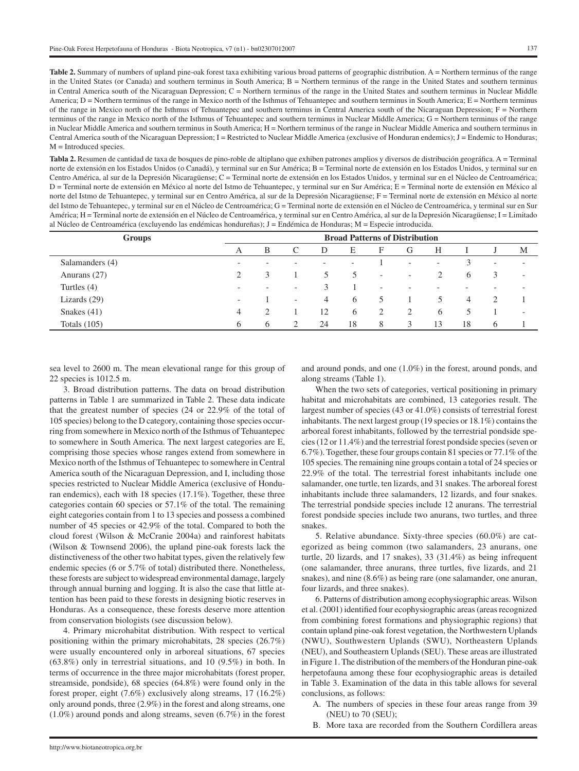**Table 2.** Summary of numbers of upland pine-oak forest taxa exhibiting various broad patterns of geographic distribution. A = Northern terminus of the range in the United States (or Canada) and southern terminus in South America; B = Northern terminus of the range in the United States and southern terminus in Central America south of the Nicaraguan Depression; C = Northern terminus of the range in the United States and southern terminus in Nuclear Middle America;  $D =$  Northern terminus of the range in Mexico north of the Isthmus of Tehuantepec and southern terminus in South America;  $E =$  Northern terminus of the range in Mexico north of the Isthmus of Tehuantepec and southern terminus in Central America south of the Nicaraguan Depression;  $F =$  Northern terminus of the range in Mexico north of the Isthmus of Tehuantepec and southern terminus in Nuclear Middle America; G = Northern terminus of the range in Nuclear Middle America and southern terminus in South America; H = Northern terminus of the range in Nuclear Middle America and southern terminus in Central America south of the Nicaraguan Depression; I = Restricted to Nuclear Middle America (exclusive of Honduran endemics); J = Endemic to Honduras;  $M = Introduced$  species.

**Tabla 2.** Resumen de cantidad de taxa de bosques de pino-roble de altiplano que exhiben patrones amplios y diversos de distribución geográfica. A = Terminal norte de extensión en los Estados Unidos (o Canadá), y terminal sur en Sur América; B = Terminal norte de extensión en los Estados Unidos, y terminal sur en Centro América, al sur de la Depresión Nicaragüense; C = Terminal norte de extensión en los Estados Unidos, y terminal sur en el Núcleo de Centroamérica; D = Terminal norte de extensión en México al norte del Istmo de Tehuantepec, y terminal sur en Sur América; E = Terminal norte de extensión en México al norte del Istmo de Tehuantepec, y terminal sur en Centro América, al sur de la Depresión Nicaragüense; F = Terminal norte de extensión en México al norte del Istmo de Tehuantepec, y terminal sur en el Núcleo de Centroamérica; G = Terminal norte de extensión en el Núcleo de Centroamérica, y terminal sur en Sur América; H = Terminal norte de extensión en el Núcleo de Centroamérica, y terminal sur en Centro América, al sur de la Depresión Nicaragüense; I = Limitado al Núcleo de Centroamérica (excluyendo las endémicas hondureñas); J = Endémica de Honduras; M = Especie introducida.

| Groups          | <b>Broad Patterns of Distribution</b> |                          |                          |                          |                          |                          |                          |                          |                          |                          |                          |
|-----------------|---------------------------------------|--------------------------|--------------------------|--------------------------|--------------------------|--------------------------|--------------------------|--------------------------|--------------------------|--------------------------|--------------------------|
|                 | A                                     | B                        | C                        | D                        | E                        | F                        | G                        | Н                        |                          |                          | M                        |
| Salamanders (4) | $\overline{\phantom{0}}$              | $\overline{\phantom{0}}$ | $\overline{\phantom{a}}$ | $\overline{\phantom{0}}$ | $\overline{\phantom{a}}$ |                          | $\overline{\phantom{a}}$ | $\overline{\phantom{a}}$ |                          | $\overline{\phantom{a}}$ | $\overline{\phantom{a}}$ |
| Anurans (27)    | $\mathcal{D}$                         | 3                        |                          | $\ddot{\phantom{1}}$     | 5                        | $\overline{\phantom{a}}$ | $\overline{\phantom{a}}$ | 2                        | $\sigma$                 | 3                        | $\overline{\phantom{a}}$ |
| Turtles $(4)$   | $\overline{\phantom{0}}$              | $\overline{\phantom{0}}$ | $\overline{\phantom{a}}$ | 3                        |                          | $\overline{\phantom{a}}$ | $\overline{\phantom{0}}$ | $\overline{\phantom{0}}$ | $\overline{\phantom{a}}$ | $\overline{\phantom{0}}$ | $\overline{\phantom{0}}$ |
| Lizards $(29)$  | $\overline{\phantom{a}}$              |                          | $\overline{\phantom{a}}$ | 4                        | 6                        | $\mathcal{D}$            |                          | 5.                       | 4                        |                          |                          |
| Snakes $(41)$   | 4                                     |                          |                          | 12                       | 6                        | 2                        | $\mathcal{D}$            | 6                        | C.                       |                          | $\overline{\phantom{a}}$ |
| Totals $(105)$  | $\sigma$                              | $\sigma$                 |                          | 24                       | 18                       | 8                        |                          | 13                       | 18                       | 6                        |                          |

sea level to 2600 m. The mean elevational range for this group of 22 species is 1012.5 m.

3. Broad distribution patterns. The data on broad distribution patterns in Table 1 are summarized in Table 2. These data indicate that the greatest number of species (24 or 22.9% of the total of 105 species) belong to the D category, containing those species occurring from somewhere in Mexico north of the Isthmus of Tehuantepec to somewhere in South America. The next largest categories are E, comprising those species whose ranges extend from somewhere in Mexico north of the Isthmus of Tehuantepec to somewhere in Central America south of the Nicaraguan Depression, and I, including those species restricted to Nuclear Middle America (exclusive of Honduran endemics), each with 18 species (17.1%). Together, these three categories contain 60 species or 57.1% of the total. The remaining eight categories contain from 1 to 13 species and possess a combined number of 45 species or 42.9% of the total. Compared to both the cloud forest (Wilson & McCranie 2004a) and rainforest habitats (Wilson & Townsend 2006), the upland pine-oak forests lack the distinctiveness of the other two habitat types, given the relatively few endemic species (6 or 5.7% of total) distributed there. Nonetheless, these forests are subject to widespread environmental damage, largely through annual burning and logging. It is also the case that little attention has been paid to these forests in designing biotic reserves in Honduras. As a consequence, these forests deserve more attention from conservation biologists (see discussion below).

4. Primary microhabitat distribution. With respect to vertical positioning within the primary microhabitats, 28 species (26.7%) were usually encountered only in arboreal situations, 67 species (63.8%) only in terrestrial situations, and 10 (9.5%) in both. In terms of occurrence in the three major microhabitats (forest proper, streamside, pondside), 68 species (64.8%) were found only in the forest proper, eight (7.6%) exclusively along streams, 17 (16.2%) only around ponds, three (2.9%) in the forest and along streams, one (1.0%) around ponds and along streams, seven (6.7%) in the forest and around ponds, and one (1.0%) in the forest, around ponds, and along streams (Table 1).

When the two sets of categories, vertical positioning in primary habitat and microhabitats are combined, 13 categories result. The largest number of species (43 or 41.0%) consists of terrestrial forest inhabitants. The next largest group (19 species or 18.1%) contains the arboreal forest inhabitants, followed by the terrestrial pondside species (12 or 11.4%) and the terrestrial forest pondside species (seven or 6.7%). Together, these four groups contain 81 species or 77.1% of the 105 species. The remaining nine groups contain a total of 24 species or 22.9% of the total. The terrestrial forest inhabitants include one salamander, one turtle, ten lizards, and 31 snakes. The arboreal forest inhabitants include three salamanders, 12 lizards, and four snakes. The terrestrial pondside species include 12 anurans. The terrestrial forest pondside species include two anurans, two turtles, and three snakes.

5. Relative abundance. Sixty-three species (60.0%) are categorized as being common (two salamanders, 23 anurans, one turtle, 20 lizards, and 17 snakes), 33 (31.4%) as being infrequent (one salamander, three anurans, three turtles, five lizards, and 21 snakes), and nine (8.6%) as being rare (one salamander, one anuran, four lizards, and three snakes).

6. Patterns of distribution among ecophysiographic areas. Wilson et al. (2001) identified four ecophysiographic areas (areas recognized from combining forest formations and physiographic regions) that contain upland pine-oak forest vegetation, the Northwestern Uplands (NWU), Southwestern Uplands (SWU), Northeastern Uplands (NEU), and Southeastern Uplands (SEU). These areas are illustrated in Figure 1. The distribution of the members of the Honduran pine-oak herpetofauna among these four ecophysiographic areas is detailed in Table 3. Examination of the data in this table allows for several conclusions, as follows:

- A. The numbers of species in these four areas range from 39 (NEU) to 70 (SEU);
- B. More taxa are recorded from the Southern Cordillera areas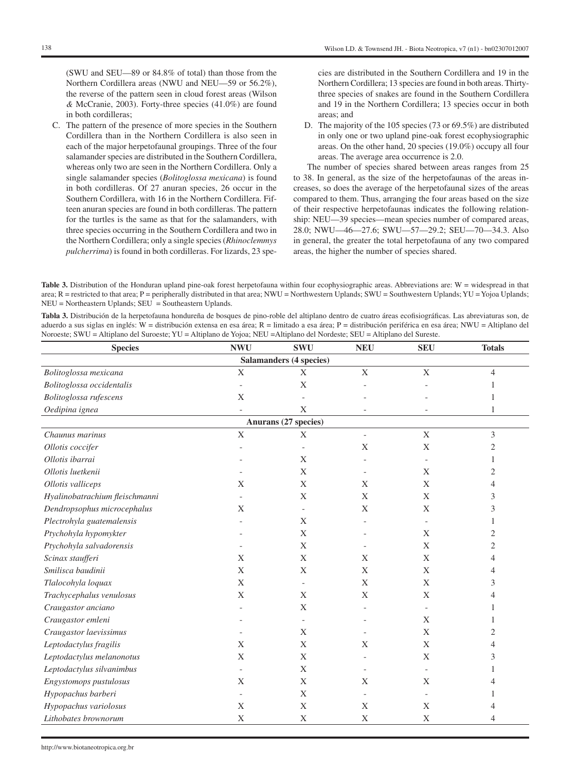(SWU and SEU—89 or 84.8% of total) than those from the Northern Cordillera areas (NWU and NEU—59 or 56.2%), the reverse of the pattern seen in cloud forest areas (Wilson *&* McCranie, 2003). Forty-three species (41.0%) are found in both cordilleras;

C. The pattern of the presence of more species in the Southern Cordillera than in the Northern Cordillera is also seen in each of the major herpetofaunal groupings. Three of the four salamander species are distributed in the Southern Cordillera, whereas only two are seen in the Northern Cordillera. Only a single salamander species (*Bolitoglossa mexicana*) is found in both cordilleras. Of 27 anuran species, 26 occur in the Southern Cordillera, with 16 in the Northern Cordillera. Fifteen anuran species are found in both cordilleras. The pattern for the turtles is the same as that for the salamanders, with three species occurring in the Southern Cordillera and two in the Northern Cordillera; only a single species (*Rhinoclemmys pulcherrima*) is found in both cordilleras. For lizards, 23 species are distributed in the Southern Cordillera and 19 in the Northern Cordillera; 13 species are found in both areas. Thirtythree species of snakes are found in the Southern Cordillera and 19 in the Northern Cordillera; 13 species occur in both areas; and

D. The majority of the 105 species (73 or 69.5%) are distributed in only one or two upland pine-oak forest ecophysiographic areas. On the other hand, 20 species (19.0%) occupy all four areas. The average area occurrence is 2.0.

The number of species shared between areas ranges from 25 to 38. In general, as the size of the herpetofaunas of the areas increases, so does the average of the herpetofaunal sizes of the areas compared to them. Thus, arranging the four areas based on the size of their respective herpetofaunas indicates the following relationship: NEU—39 species—mean species number of compared areas, 28.0; NWU—46—27.6; SWU—57—29.2; SEU—70—34.3. Also in general, the greater the total herpetofauna of any two compared areas, the higher the number of species shared.

Table 3. Distribution of the Honduran upland pine-oak forest herpetofauna within four ecophysiographic areas. Abbreviations are: W = widespread in that area; R = restricted to that area; P = peripherally distributed in that area; NWU = Northwestern Uplands; SWU = Southwestern Uplands; YU = Yojoa Uplands; NEU = Northeastern Uplands; SEU = Southeastern Uplands.

**Tabla 3.** Distribución de la herpetofauna hondureña de bosques de pino-roble del altiplano dentro de cuatro áreas ecofisiográficas. Las abreviaturas son, de aduerdo a sus siglas en inglés: W = distribución extensa en esa área; R = limitado a esa área; P = distribución periférica en esa área; NWU = Altiplano del Noroeste; SWU = Altiplano del Suroeste; YU = Altiplano de Yojoa; NEU =Altiplano del Nordeste; SEU = Altiplano del Sureste.

| <b>Species</b>                 | <b>NWU</b>               | <b>SWU</b>           | <b>NEU</b>     | <b>SEU</b>  | <b>Totals</b>  |  |  |  |  |  |
|--------------------------------|--------------------------|----------------------|----------------|-------------|----------------|--|--|--|--|--|
| <b>Salamanders (4 species)</b> |                          |                      |                |             |                |  |  |  |  |  |
| Bolitoglossa mexicana          | $\mathbf X$              | X                    | $\mathbf X$    | $\mathbf X$ | $\overline{4}$ |  |  |  |  |  |
| Bolitoglossa occidentalis      |                          | $\mathbf X$          |                |             | 1              |  |  |  |  |  |
| Bolitoglossa rufescens         | X                        |                      |                |             |                |  |  |  |  |  |
| Oedipina ignea                 | $\overline{\phantom{a}}$ | X                    |                |             |                |  |  |  |  |  |
|                                |                          | Anurans (27 species) |                |             |                |  |  |  |  |  |
| Chaunus marinus                | $\mathbf X$              | X                    | $\blacksquare$ | X           | 3              |  |  |  |  |  |
| Ollotis coccifer               |                          |                      | X              | X           | 2              |  |  |  |  |  |
| Ollotis ibarrai                |                          | X                    |                |             | 1              |  |  |  |  |  |
| Ollotis luetkenii              |                          | X                    |                | X           | $\overline{2}$ |  |  |  |  |  |
| Ollotis valliceps              | X                        | X                    | X              | X           | $\overline{4}$ |  |  |  |  |  |
| Hyalinobatrachium fleischmanni |                          | X                    | X              | X           | 3              |  |  |  |  |  |
| Dendropsophus microcephalus    | X                        | $\overline{a}$       | X              | X           | 3              |  |  |  |  |  |
| Plectrohyla guatemalensis      |                          | X                    |                |             | 1              |  |  |  |  |  |
| Ptychohyla hypomykter          |                          | X                    |                | X           | 2              |  |  |  |  |  |
| Ptychohyla salvadorensis       |                          | X                    |                | X           | 2              |  |  |  |  |  |
| Scinax staufferi               | X                        | $\mathbf X$          | X              | X           | 4              |  |  |  |  |  |
| Smilisca baudinii              | X                        | X                    | X              | X           | 4              |  |  |  |  |  |
| Tlalocohyla loquax             | $\mathbf X$              |                      | X              | X           | 3              |  |  |  |  |  |
| Trachycephalus venulosus       | X                        | X                    | X              | X           | 4              |  |  |  |  |  |
| Craugastor anciano             |                          | X                    |                |             | 1              |  |  |  |  |  |
| Craugastor emleni              |                          |                      |                | X           | 1              |  |  |  |  |  |
| Craugastor laevissimus         |                          | $\mathbf X$          |                | X           | 2              |  |  |  |  |  |
| Leptodactylus fragilis         | X                        | X                    | X              | X           | 4              |  |  |  |  |  |
| Leptodactylus melanonotus      | X                        | X                    |                | X           | 3              |  |  |  |  |  |
| Leptodactylus silvanimbus      |                          | X                    |                |             |                |  |  |  |  |  |
| Engystomops pustulosus         | X                        | X                    | X              | X           | 4              |  |  |  |  |  |
| Hypopachus barberi             |                          | $\mathbf X$          |                |             |                |  |  |  |  |  |
| Hypopachus variolosus          | $\mathbf X$              | $\mathbf X$          | $\mathbf X$    | X           | 4              |  |  |  |  |  |
| Lithobates brownorum           | X                        | X                    | X              | X           | 4              |  |  |  |  |  |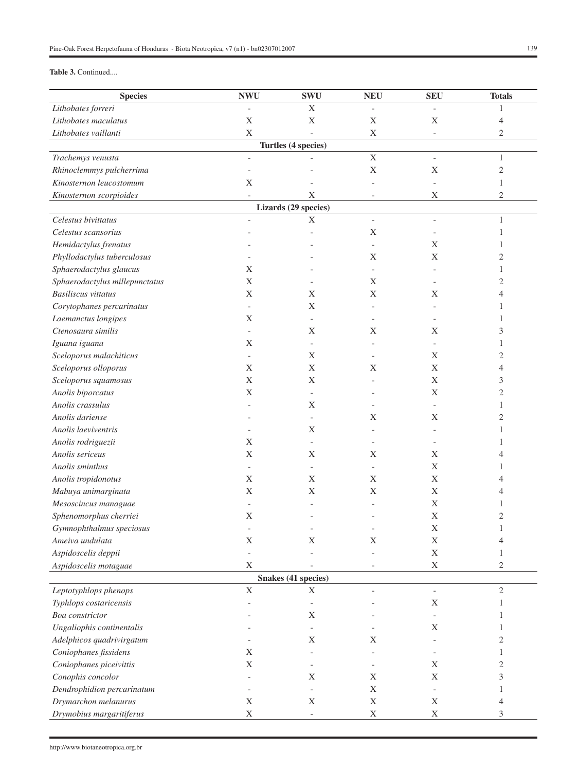# **Table 3.** Continued....

| Lithobates forreri<br>X<br>1<br>Lithobates maculatus<br>$\mathbf X$<br>$\mathbf X$<br>$\mathbf X$<br>$\mathbf X$<br>4<br>Lithobates vaillanti<br>X<br>X<br>2<br>$\overline{\phantom{a}}$<br>Turtles (4 species)<br>$\mathbf X$<br>$\mathbf{1}$<br>Trachemys venusta<br>$\overline{\phantom{a}}$<br>$\overline{a}$<br>Rhinoclemmys pulcherrima<br>X<br>X<br>$\overline{c}$<br>Kinosternon leucostomum<br>X<br>1<br>X<br>2<br>Kinosternon scorpioides<br>X<br>Lizards (29 species)<br>Celestus bivittatus<br>X<br>1<br>$\overline{\phantom{a}}$<br>$\overline{a}$<br>X<br>Celestus scansorius<br>1<br>Hemidactylus frenatus<br>X<br>1<br>Phyllodactylus tuberculosus<br>X<br>X<br>2<br>Sphaerodactylus glaucus<br>Χ<br>1<br>X<br>Sphaerodactylus millepunctatus<br>X<br>2<br><b>Basiliscus</b> vittatus<br>X<br>X<br>X<br>X<br>4<br>Corytophanes percarinatus<br>X<br>1<br>Laemanctus longipes<br>X<br>1<br>Ctenosaura similis<br>X<br>X<br>3<br>Χ<br>Iguana iguana<br>Χ<br>1<br>$\overline{\phantom{a}}$<br>Sceloporus malachiticus<br>X<br>X<br>2<br>Sceloporus olloporus<br>X<br>X<br>X<br>X<br>4<br>Sceloporus squamosus<br>X<br>X<br>X<br>3<br>2<br>Anolis biporcatus<br>X<br>Χ<br>Anolis crassulus<br>X<br>1<br>Anolis dariense<br>X<br>X<br>2<br>Anolis laeviventris<br>X<br>1<br>Anolis rodriguezii<br>Χ<br>1<br>$\overline{a}$<br>Anolis sericeus<br>X<br>X<br>X<br>X<br>4<br>Anolis sminthus<br>X<br>1<br>Anolis tropidonotus<br>X<br>X<br>X<br>X<br>4<br>Mabuya unimarginata<br>X<br>X<br>X<br>X<br>4<br>Mesoscincus managuae<br>X<br>1<br>Sphenomorphus cherriei<br>X<br>X<br>2<br>Gymnophthalmus speciosus<br>X<br>$\overline{\phantom{0}}$<br>$\overline{\phantom{0}}$<br>Ameiva undulata<br>X<br>$\mathbf X$<br>$\mathbf X$<br>$\mathbf X$<br>4<br>Aspidoscelis deppii<br>$\mathbf X$<br>1<br>$\mathbf X$<br>$\mathbf X$<br>$\overline{2}$<br>Aspidoscelis motaguae<br><b>Snakes (41 species)</b><br>$\mathbf X$<br>$\overline{2}$<br>X<br>Leptotyphlops phenops<br>$\overline{\phantom{a}}$<br>Typhlops costaricensis<br>X<br>1<br>Boa constrictor<br>$\mathbf X$<br>1<br>Ungaliophis continentalis<br>Χ<br>1<br>Adelphicos quadrivirgatum<br>X<br>Х<br>2<br>Coniophanes fissidens<br>Χ<br>1<br>Coniophanes piceivittis<br>X<br>X<br>2<br>Conophis concolor<br>$\mathbf X$<br>$\mathbf X$<br>3<br>X<br>Dendrophidion percarinatum<br>$\mathbf X$<br>1<br>Drymarchon melanurus<br>$\mathbf X$<br>$\mathbf X$<br>$\mathbf X$<br>X<br>4<br>$\mathbf X$<br>Drymobius margaritiferus<br>$\mathbf X$<br>$\mathbf X$<br>3 | <b>Species</b> | <b>NWU</b> | <b>SWU</b> | <b>NEU</b> | <b>SEU</b> | <b>Totals</b> |
|----------------------------------------------------------------------------------------------------------------------------------------------------------------------------------------------------------------------------------------------------------------------------------------------------------------------------------------------------------------------------------------------------------------------------------------------------------------------------------------------------------------------------------------------------------------------------------------------------------------------------------------------------------------------------------------------------------------------------------------------------------------------------------------------------------------------------------------------------------------------------------------------------------------------------------------------------------------------------------------------------------------------------------------------------------------------------------------------------------------------------------------------------------------------------------------------------------------------------------------------------------------------------------------------------------------------------------------------------------------------------------------------------------------------------------------------------------------------------------------------------------------------------------------------------------------------------------------------------------------------------------------------------------------------------------------------------------------------------------------------------------------------------------------------------------------------------------------------------------------------------------------------------------------------------------------------------------------------------------------------------------------------------------------------------------------------------------------------------------------------------------------------------------------------------------------------------------------------------------------------------------------------------------------------------------------------------------------------------------------------------------------------------------------------------------------------------------------------------------------------------------------------------------|----------------|------------|------------|------------|------------|---------------|
|                                                                                                                                                                                                                                                                                                                                                                                                                                                                                                                                                                                                                                                                                                                                                                                                                                                                                                                                                                                                                                                                                                                                                                                                                                                                                                                                                                                                                                                                                                                                                                                                                                                                                                                                                                                                                                                                                                                                                                                                                                                                                                                                                                                                                                                                                                                                                                                                                                                                                                                                  |                |            |            |            |            |               |
|                                                                                                                                                                                                                                                                                                                                                                                                                                                                                                                                                                                                                                                                                                                                                                                                                                                                                                                                                                                                                                                                                                                                                                                                                                                                                                                                                                                                                                                                                                                                                                                                                                                                                                                                                                                                                                                                                                                                                                                                                                                                                                                                                                                                                                                                                                                                                                                                                                                                                                                                  |                |            |            |            |            |               |
|                                                                                                                                                                                                                                                                                                                                                                                                                                                                                                                                                                                                                                                                                                                                                                                                                                                                                                                                                                                                                                                                                                                                                                                                                                                                                                                                                                                                                                                                                                                                                                                                                                                                                                                                                                                                                                                                                                                                                                                                                                                                                                                                                                                                                                                                                                                                                                                                                                                                                                                                  |                |            |            |            |            |               |
|                                                                                                                                                                                                                                                                                                                                                                                                                                                                                                                                                                                                                                                                                                                                                                                                                                                                                                                                                                                                                                                                                                                                                                                                                                                                                                                                                                                                                                                                                                                                                                                                                                                                                                                                                                                                                                                                                                                                                                                                                                                                                                                                                                                                                                                                                                                                                                                                                                                                                                                                  |                |            |            |            |            |               |
|                                                                                                                                                                                                                                                                                                                                                                                                                                                                                                                                                                                                                                                                                                                                                                                                                                                                                                                                                                                                                                                                                                                                                                                                                                                                                                                                                                                                                                                                                                                                                                                                                                                                                                                                                                                                                                                                                                                                                                                                                                                                                                                                                                                                                                                                                                                                                                                                                                                                                                                                  |                |            |            |            |            |               |
|                                                                                                                                                                                                                                                                                                                                                                                                                                                                                                                                                                                                                                                                                                                                                                                                                                                                                                                                                                                                                                                                                                                                                                                                                                                                                                                                                                                                                                                                                                                                                                                                                                                                                                                                                                                                                                                                                                                                                                                                                                                                                                                                                                                                                                                                                                                                                                                                                                                                                                                                  |                |            |            |            |            |               |
|                                                                                                                                                                                                                                                                                                                                                                                                                                                                                                                                                                                                                                                                                                                                                                                                                                                                                                                                                                                                                                                                                                                                                                                                                                                                                                                                                                                                                                                                                                                                                                                                                                                                                                                                                                                                                                                                                                                                                                                                                                                                                                                                                                                                                                                                                                                                                                                                                                                                                                                                  |                |            |            |            |            |               |
|                                                                                                                                                                                                                                                                                                                                                                                                                                                                                                                                                                                                                                                                                                                                                                                                                                                                                                                                                                                                                                                                                                                                                                                                                                                                                                                                                                                                                                                                                                                                                                                                                                                                                                                                                                                                                                                                                                                                                                                                                                                                                                                                                                                                                                                                                                                                                                                                                                                                                                                                  |                |            |            |            |            |               |
|                                                                                                                                                                                                                                                                                                                                                                                                                                                                                                                                                                                                                                                                                                                                                                                                                                                                                                                                                                                                                                                                                                                                                                                                                                                                                                                                                                                                                                                                                                                                                                                                                                                                                                                                                                                                                                                                                                                                                                                                                                                                                                                                                                                                                                                                                                                                                                                                                                                                                                                                  |                |            |            |            |            |               |
|                                                                                                                                                                                                                                                                                                                                                                                                                                                                                                                                                                                                                                                                                                                                                                                                                                                                                                                                                                                                                                                                                                                                                                                                                                                                                                                                                                                                                                                                                                                                                                                                                                                                                                                                                                                                                                                                                                                                                                                                                                                                                                                                                                                                                                                                                                                                                                                                                                                                                                                                  |                |            |            |            |            |               |
|                                                                                                                                                                                                                                                                                                                                                                                                                                                                                                                                                                                                                                                                                                                                                                                                                                                                                                                                                                                                                                                                                                                                                                                                                                                                                                                                                                                                                                                                                                                                                                                                                                                                                                                                                                                                                                                                                                                                                                                                                                                                                                                                                                                                                                                                                                                                                                                                                                                                                                                                  |                |            |            |            |            |               |
|                                                                                                                                                                                                                                                                                                                                                                                                                                                                                                                                                                                                                                                                                                                                                                                                                                                                                                                                                                                                                                                                                                                                                                                                                                                                                                                                                                                                                                                                                                                                                                                                                                                                                                                                                                                                                                                                                                                                                                                                                                                                                                                                                                                                                                                                                                                                                                                                                                                                                                                                  |                |            |            |            |            |               |
|                                                                                                                                                                                                                                                                                                                                                                                                                                                                                                                                                                                                                                                                                                                                                                                                                                                                                                                                                                                                                                                                                                                                                                                                                                                                                                                                                                                                                                                                                                                                                                                                                                                                                                                                                                                                                                                                                                                                                                                                                                                                                                                                                                                                                                                                                                                                                                                                                                                                                                                                  |                |            |            |            |            |               |
|                                                                                                                                                                                                                                                                                                                                                                                                                                                                                                                                                                                                                                                                                                                                                                                                                                                                                                                                                                                                                                                                                                                                                                                                                                                                                                                                                                                                                                                                                                                                                                                                                                                                                                                                                                                                                                                                                                                                                                                                                                                                                                                                                                                                                                                                                                                                                                                                                                                                                                                                  |                |            |            |            |            |               |
|                                                                                                                                                                                                                                                                                                                                                                                                                                                                                                                                                                                                                                                                                                                                                                                                                                                                                                                                                                                                                                                                                                                                                                                                                                                                                                                                                                                                                                                                                                                                                                                                                                                                                                                                                                                                                                                                                                                                                                                                                                                                                                                                                                                                                                                                                                                                                                                                                                                                                                                                  |                |            |            |            |            |               |
|                                                                                                                                                                                                                                                                                                                                                                                                                                                                                                                                                                                                                                                                                                                                                                                                                                                                                                                                                                                                                                                                                                                                                                                                                                                                                                                                                                                                                                                                                                                                                                                                                                                                                                                                                                                                                                                                                                                                                                                                                                                                                                                                                                                                                                                                                                                                                                                                                                                                                                                                  |                |            |            |            |            |               |
|                                                                                                                                                                                                                                                                                                                                                                                                                                                                                                                                                                                                                                                                                                                                                                                                                                                                                                                                                                                                                                                                                                                                                                                                                                                                                                                                                                                                                                                                                                                                                                                                                                                                                                                                                                                                                                                                                                                                                                                                                                                                                                                                                                                                                                                                                                                                                                                                                                                                                                                                  |                |            |            |            |            |               |
|                                                                                                                                                                                                                                                                                                                                                                                                                                                                                                                                                                                                                                                                                                                                                                                                                                                                                                                                                                                                                                                                                                                                                                                                                                                                                                                                                                                                                                                                                                                                                                                                                                                                                                                                                                                                                                                                                                                                                                                                                                                                                                                                                                                                                                                                                                                                                                                                                                                                                                                                  |                |            |            |            |            |               |
|                                                                                                                                                                                                                                                                                                                                                                                                                                                                                                                                                                                                                                                                                                                                                                                                                                                                                                                                                                                                                                                                                                                                                                                                                                                                                                                                                                                                                                                                                                                                                                                                                                                                                                                                                                                                                                                                                                                                                                                                                                                                                                                                                                                                                                                                                                                                                                                                                                                                                                                                  |                |            |            |            |            |               |
|                                                                                                                                                                                                                                                                                                                                                                                                                                                                                                                                                                                                                                                                                                                                                                                                                                                                                                                                                                                                                                                                                                                                                                                                                                                                                                                                                                                                                                                                                                                                                                                                                                                                                                                                                                                                                                                                                                                                                                                                                                                                                                                                                                                                                                                                                                                                                                                                                                                                                                                                  |                |            |            |            |            |               |
|                                                                                                                                                                                                                                                                                                                                                                                                                                                                                                                                                                                                                                                                                                                                                                                                                                                                                                                                                                                                                                                                                                                                                                                                                                                                                                                                                                                                                                                                                                                                                                                                                                                                                                                                                                                                                                                                                                                                                                                                                                                                                                                                                                                                                                                                                                                                                                                                                                                                                                                                  |                |            |            |            |            |               |
|                                                                                                                                                                                                                                                                                                                                                                                                                                                                                                                                                                                                                                                                                                                                                                                                                                                                                                                                                                                                                                                                                                                                                                                                                                                                                                                                                                                                                                                                                                                                                                                                                                                                                                                                                                                                                                                                                                                                                                                                                                                                                                                                                                                                                                                                                                                                                                                                                                                                                                                                  |                |            |            |            |            |               |
|                                                                                                                                                                                                                                                                                                                                                                                                                                                                                                                                                                                                                                                                                                                                                                                                                                                                                                                                                                                                                                                                                                                                                                                                                                                                                                                                                                                                                                                                                                                                                                                                                                                                                                                                                                                                                                                                                                                                                                                                                                                                                                                                                                                                                                                                                                                                                                                                                                                                                                                                  |                |            |            |            |            |               |
|                                                                                                                                                                                                                                                                                                                                                                                                                                                                                                                                                                                                                                                                                                                                                                                                                                                                                                                                                                                                                                                                                                                                                                                                                                                                                                                                                                                                                                                                                                                                                                                                                                                                                                                                                                                                                                                                                                                                                                                                                                                                                                                                                                                                                                                                                                                                                                                                                                                                                                                                  |                |            |            |            |            |               |
|                                                                                                                                                                                                                                                                                                                                                                                                                                                                                                                                                                                                                                                                                                                                                                                                                                                                                                                                                                                                                                                                                                                                                                                                                                                                                                                                                                                                                                                                                                                                                                                                                                                                                                                                                                                                                                                                                                                                                                                                                                                                                                                                                                                                                                                                                                                                                                                                                                                                                                                                  |                |            |            |            |            |               |
|                                                                                                                                                                                                                                                                                                                                                                                                                                                                                                                                                                                                                                                                                                                                                                                                                                                                                                                                                                                                                                                                                                                                                                                                                                                                                                                                                                                                                                                                                                                                                                                                                                                                                                                                                                                                                                                                                                                                                                                                                                                                                                                                                                                                                                                                                                                                                                                                                                                                                                                                  |                |            |            |            |            |               |
|                                                                                                                                                                                                                                                                                                                                                                                                                                                                                                                                                                                                                                                                                                                                                                                                                                                                                                                                                                                                                                                                                                                                                                                                                                                                                                                                                                                                                                                                                                                                                                                                                                                                                                                                                                                                                                                                                                                                                                                                                                                                                                                                                                                                                                                                                                                                                                                                                                                                                                                                  |                |            |            |            |            |               |
|                                                                                                                                                                                                                                                                                                                                                                                                                                                                                                                                                                                                                                                                                                                                                                                                                                                                                                                                                                                                                                                                                                                                                                                                                                                                                                                                                                                                                                                                                                                                                                                                                                                                                                                                                                                                                                                                                                                                                                                                                                                                                                                                                                                                                                                                                                                                                                                                                                                                                                                                  |                |            |            |            |            |               |
|                                                                                                                                                                                                                                                                                                                                                                                                                                                                                                                                                                                                                                                                                                                                                                                                                                                                                                                                                                                                                                                                                                                                                                                                                                                                                                                                                                                                                                                                                                                                                                                                                                                                                                                                                                                                                                                                                                                                                                                                                                                                                                                                                                                                                                                                                                                                                                                                                                                                                                                                  |                |            |            |            |            |               |
|                                                                                                                                                                                                                                                                                                                                                                                                                                                                                                                                                                                                                                                                                                                                                                                                                                                                                                                                                                                                                                                                                                                                                                                                                                                                                                                                                                                                                                                                                                                                                                                                                                                                                                                                                                                                                                                                                                                                                                                                                                                                                                                                                                                                                                                                                                                                                                                                                                                                                                                                  |                |            |            |            |            |               |
|                                                                                                                                                                                                                                                                                                                                                                                                                                                                                                                                                                                                                                                                                                                                                                                                                                                                                                                                                                                                                                                                                                                                                                                                                                                                                                                                                                                                                                                                                                                                                                                                                                                                                                                                                                                                                                                                                                                                                                                                                                                                                                                                                                                                                                                                                                                                                                                                                                                                                                                                  |                |            |            |            |            |               |
|                                                                                                                                                                                                                                                                                                                                                                                                                                                                                                                                                                                                                                                                                                                                                                                                                                                                                                                                                                                                                                                                                                                                                                                                                                                                                                                                                                                                                                                                                                                                                                                                                                                                                                                                                                                                                                                                                                                                                                                                                                                                                                                                                                                                                                                                                                                                                                                                                                                                                                                                  |                |            |            |            |            |               |
|                                                                                                                                                                                                                                                                                                                                                                                                                                                                                                                                                                                                                                                                                                                                                                                                                                                                                                                                                                                                                                                                                                                                                                                                                                                                                                                                                                                                                                                                                                                                                                                                                                                                                                                                                                                                                                                                                                                                                                                                                                                                                                                                                                                                                                                                                                                                                                                                                                                                                                                                  |                |            |            |            |            |               |
|                                                                                                                                                                                                                                                                                                                                                                                                                                                                                                                                                                                                                                                                                                                                                                                                                                                                                                                                                                                                                                                                                                                                                                                                                                                                                                                                                                                                                                                                                                                                                                                                                                                                                                                                                                                                                                                                                                                                                                                                                                                                                                                                                                                                                                                                                                                                                                                                                                                                                                                                  |                |            |            |            |            |               |
|                                                                                                                                                                                                                                                                                                                                                                                                                                                                                                                                                                                                                                                                                                                                                                                                                                                                                                                                                                                                                                                                                                                                                                                                                                                                                                                                                                                                                                                                                                                                                                                                                                                                                                                                                                                                                                                                                                                                                                                                                                                                                                                                                                                                                                                                                                                                                                                                                                                                                                                                  |                |            |            |            |            |               |
|                                                                                                                                                                                                                                                                                                                                                                                                                                                                                                                                                                                                                                                                                                                                                                                                                                                                                                                                                                                                                                                                                                                                                                                                                                                                                                                                                                                                                                                                                                                                                                                                                                                                                                                                                                                                                                                                                                                                                                                                                                                                                                                                                                                                                                                                                                                                                                                                                                                                                                                                  |                |            |            |            |            |               |
|                                                                                                                                                                                                                                                                                                                                                                                                                                                                                                                                                                                                                                                                                                                                                                                                                                                                                                                                                                                                                                                                                                                                                                                                                                                                                                                                                                                                                                                                                                                                                                                                                                                                                                                                                                                                                                                                                                                                                                                                                                                                                                                                                                                                                                                                                                                                                                                                                                                                                                                                  |                |            |            |            |            |               |
|                                                                                                                                                                                                                                                                                                                                                                                                                                                                                                                                                                                                                                                                                                                                                                                                                                                                                                                                                                                                                                                                                                                                                                                                                                                                                                                                                                                                                                                                                                                                                                                                                                                                                                                                                                                                                                                                                                                                                                                                                                                                                                                                                                                                                                                                                                                                                                                                                                                                                                                                  |                |            |            |            |            |               |
|                                                                                                                                                                                                                                                                                                                                                                                                                                                                                                                                                                                                                                                                                                                                                                                                                                                                                                                                                                                                                                                                                                                                                                                                                                                                                                                                                                                                                                                                                                                                                                                                                                                                                                                                                                                                                                                                                                                                                                                                                                                                                                                                                                                                                                                                                                                                                                                                                                                                                                                                  |                |            |            |            |            |               |
|                                                                                                                                                                                                                                                                                                                                                                                                                                                                                                                                                                                                                                                                                                                                                                                                                                                                                                                                                                                                                                                                                                                                                                                                                                                                                                                                                                                                                                                                                                                                                                                                                                                                                                                                                                                                                                                                                                                                                                                                                                                                                                                                                                                                                                                                                                                                                                                                                                                                                                                                  |                |            |            |            |            |               |
|                                                                                                                                                                                                                                                                                                                                                                                                                                                                                                                                                                                                                                                                                                                                                                                                                                                                                                                                                                                                                                                                                                                                                                                                                                                                                                                                                                                                                                                                                                                                                                                                                                                                                                                                                                                                                                                                                                                                                                                                                                                                                                                                                                                                                                                                                                                                                                                                                                                                                                                                  |                |            |            |            |            |               |
|                                                                                                                                                                                                                                                                                                                                                                                                                                                                                                                                                                                                                                                                                                                                                                                                                                                                                                                                                                                                                                                                                                                                                                                                                                                                                                                                                                                                                                                                                                                                                                                                                                                                                                                                                                                                                                                                                                                                                                                                                                                                                                                                                                                                                                                                                                                                                                                                                                                                                                                                  |                |            |            |            |            |               |
|                                                                                                                                                                                                                                                                                                                                                                                                                                                                                                                                                                                                                                                                                                                                                                                                                                                                                                                                                                                                                                                                                                                                                                                                                                                                                                                                                                                                                                                                                                                                                                                                                                                                                                                                                                                                                                                                                                                                                                                                                                                                                                                                                                                                                                                                                                                                                                                                                                                                                                                                  |                |            |            |            |            |               |
|                                                                                                                                                                                                                                                                                                                                                                                                                                                                                                                                                                                                                                                                                                                                                                                                                                                                                                                                                                                                                                                                                                                                                                                                                                                                                                                                                                                                                                                                                                                                                                                                                                                                                                                                                                                                                                                                                                                                                                                                                                                                                                                                                                                                                                                                                                                                                                                                                                                                                                                                  |                |            |            |            |            |               |
|                                                                                                                                                                                                                                                                                                                                                                                                                                                                                                                                                                                                                                                                                                                                                                                                                                                                                                                                                                                                                                                                                                                                                                                                                                                                                                                                                                                                                                                                                                                                                                                                                                                                                                                                                                                                                                                                                                                                                                                                                                                                                                                                                                                                                                                                                                                                                                                                                                                                                                                                  |                |            |            |            |            |               |
|                                                                                                                                                                                                                                                                                                                                                                                                                                                                                                                                                                                                                                                                                                                                                                                                                                                                                                                                                                                                                                                                                                                                                                                                                                                                                                                                                                                                                                                                                                                                                                                                                                                                                                                                                                                                                                                                                                                                                                                                                                                                                                                                                                                                                                                                                                                                                                                                                                                                                                                                  |                |            |            |            |            |               |
|                                                                                                                                                                                                                                                                                                                                                                                                                                                                                                                                                                                                                                                                                                                                                                                                                                                                                                                                                                                                                                                                                                                                                                                                                                                                                                                                                                                                                                                                                                                                                                                                                                                                                                                                                                                                                                                                                                                                                                                                                                                                                                                                                                                                                                                                                                                                                                                                                                                                                                                                  |                |            |            |            |            |               |
|                                                                                                                                                                                                                                                                                                                                                                                                                                                                                                                                                                                                                                                                                                                                                                                                                                                                                                                                                                                                                                                                                                                                                                                                                                                                                                                                                                                                                                                                                                                                                                                                                                                                                                                                                                                                                                                                                                                                                                                                                                                                                                                                                                                                                                                                                                                                                                                                                                                                                                                                  |                |            |            |            |            |               |
|                                                                                                                                                                                                                                                                                                                                                                                                                                                                                                                                                                                                                                                                                                                                                                                                                                                                                                                                                                                                                                                                                                                                                                                                                                                                                                                                                                                                                                                                                                                                                                                                                                                                                                                                                                                                                                                                                                                                                                                                                                                                                                                                                                                                                                                                                                                                                                                                                                                                                                                                  |                |            |            |            |            |               |
|                                                                                                                                                                                                                                                                                                                                                                                                                                                                                                                                                                                                                                                                                                                                                                                                                                                                                                                                                                                                                                                                                                                                                                                                                                                                                                                                                                                                                                                                                                                                                                                                                                                                                                                                                                                                                                                                                                                                                                                                                                                                                                                                                                                                                                                                                                                                                                                                                                                                                                                                  |                |            |            |            |            |               |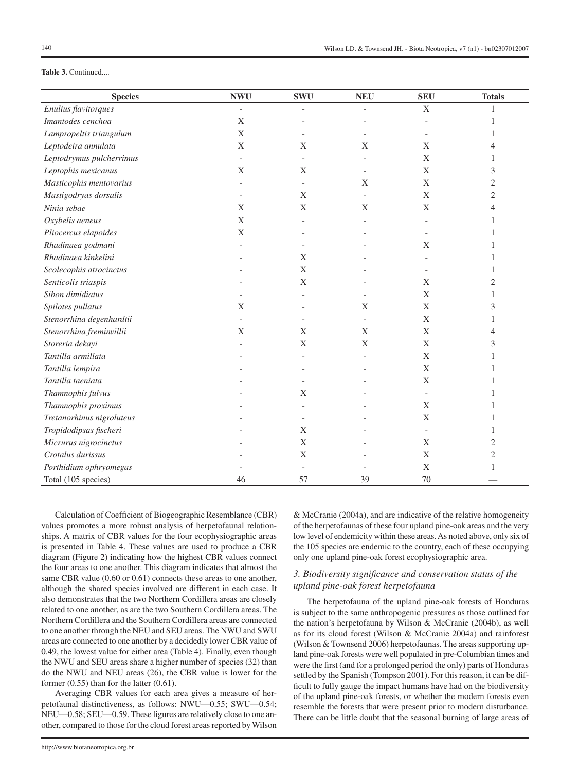#### **Table 3.** Continued....

| <b>Species</b>            | <b>NWU</b>  | <b>SWU</b>  | <b>NEU</b> | <b>SEU</b> | <b>Totals</b>  |
|---------------------------|-------------|-------------|------------|------------|----------------|
| Enulius flavitorques      |             |             |            | X          |                |
| Imantodes cenchoa         | $\mathbf X$ |             |            |            | 1              |
| Lampropeltis triangulum   | $\mathbf X$ |             |            |            |                |
| Leptodeira annulata       | X           | X           | X          | X          | 4              |
| Leptodrymus pulcherrimus  |             |             |            | X          | 1              |
| Leptophis mexicanus       | X           | X           |            | X          | 3              |
| Masticophis mentovarius   |             |             | X          | X          | 2              |
| Mastigodryas dorsalis     |             | X           |            | X          | 2              |
| Ninia sebae               | $\mathbf X$ | X           | X          | X          | 4              |
| Oxybelis aeneus           | X           |             |            |            | 1              |
| Pliocercus elapoides      | X           |             |            |            |                |
| Rhadinaea godmani         |             |             |            | X          |                |
| Rhadinaea kinkelini       |             | X           |            |            |                |
| Scolecophis atrocinctus   |             | X           |            |            | 1              |
| Senticolis triaspis       |             | $\mathbf X$ |            | X          | 2              |
| Sibon dimidiatus          |             |             |            | X          | 1              |
| Spilotes pullatus         | X           |             | X          | X          | 3              |
| Stenorrhina degenhardtii  |             |             |            | X          | 1              |
| Stenorrhina freminvillii  | X           | X           | X          | X          | 4              |
| Storeria dekayi           |             | X           | X          | X          | 3              |
| Tantilla armillata        |             |             |            | X          | 1              |
| Tantilla lempira          |             |             |            | X          |                |
| Tantilla taeniata         |             |             |            | X          |                |
| Thamnophis fulvus         |             | X           |            |            |                |
| Thamnophis proximus       |             |             |            | X          |                |
| Tretanorhinus nigroluteus |             |             |            | X          |                |
| Tropidodipsas fischeri    |             | X           |            |            | 1              |
| Micrurus nigrocinctus     |             | $\mathbf X$ |            | X          | 2              |
| Crotalus durissus         |             | X           |            | X          | $\overline{c}$ |
| Porthidium ophryomegas    |             |             |            | X          |                |
| Total (105 species)       | 46          | 57          | 39         | 70         |                |

Calculation of Coefficient of Biogeographic Resemblance (CBR) values promotes a more robust analysis of herpetofaunal relationships. A matrix of CBR values for the four ecophysiographic areas is presented in Table 4. These values are used to produce a CBR diagram (Figure 2) indicating how the highest CBR values connect the four areas to one another. This diagram indicates that almost the same CBR value (0.60 or 0.61) connects these areas to one another, although the shared species involved are different in each case. It also demonstrates that the two Northern Cordillera areas are closely related to one another, as are the two Southern Cordillera areas. The Northern Cordillera and the Southern Cordillera areas are connected to one another through the NEU and SEU areas. The NWU and SWU areas are connected to one another by a decidedly lower CBR value of 0.49, the lowest value for either area (Table 4). Finally, even though the NWU and SEU areas share a higher number of species (32) than do the NWU and NEU areas (26), the CBR value is lower for the former (0.55) than for the latter (0.61).

Averaging CBR values for each area gives a measure of herpetofaunal distinctiveness, as follows: NWU—0.55; SWU—0.54; NEU—0.58; SEU—0.59. These figures are relatively close to one another, compared to those for the cloud forest areas reported by Wilson & McCranie (2004a), and are indicative of the relative homogeneity of the herpetofaunas of these four upland pine-oak areas and the very low level of endemicity within these areas. As noted above, only six of the 105 species are endemic to the country, each of these occupying only one upland pine-oak forest ecophysiographic area.

# *3. Biodiversity significance and conservation status of the upland pine-oak forest herpetofauna*

The herpetofauna of the upland pine-oak forests of Honduras is subject to the same anthropogenic pressures as those outlined for the nation's herpetofauna by Wilson & McCranie (2004b), as well as for its cloud forest (Wilson & McCranie 2004a) and rainforest (Wilson & Townsend 2006) herpetofaunas. The areas supporting upland pine-oak forests were well populated in pre-Columbian times and were the first (and for a prolonged period the only) parts of Honduras settled by the Spanish (Tompson 2001). For this reason, it can be difficult to fully gauge the impact humans have had on the biodiversity of the upland pine-oak forests, or whether the modern forests even resemble the forests that were present prior to modern disturbance. There can be little doubt that the seasonal burning of large areas of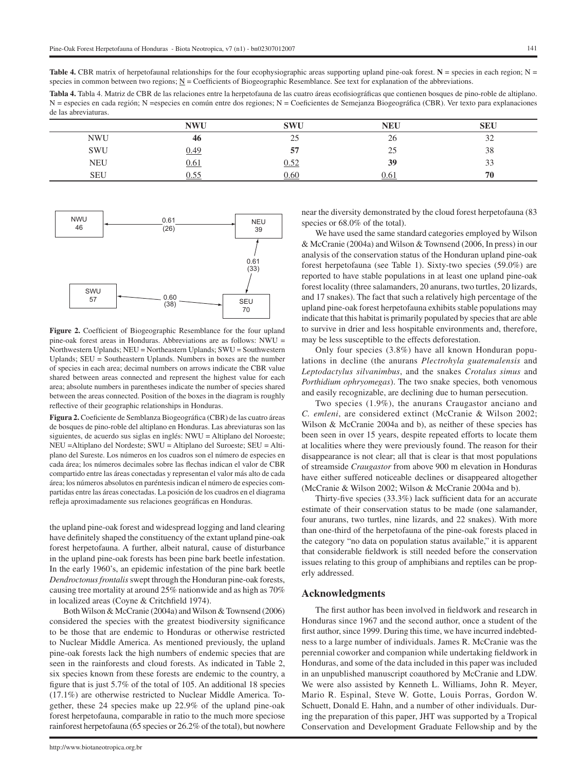Table 4. CBR matrix of herpetofaunal relationships for the four ecophysiographic areas supporting upland pine-oak forest. N = species in each region; N = species in common between two regions;  $N =$  Coefficients of Biogeographic Resemblance. See text for explanation of the abbreviations.

**Tabla 4.** Tabla 4. Matriz de CBR de las relaciones entre la herpetofauna de las cuatro áreas ecofisiográficas que contienen bosques de pino-roble de altiplano. N = especies en cada región; N =especies en común entre dos regiones; N = Coeficientes de Semejanza Biogeográfica (CBR). Ver texto para explanaciones de las abreviaturas.

|            | <b>NWU</b>  | <b>SWU</b> | <b>NEU</b> | <b>SEU</b>      |
|------------|-------------|------------|------------|-----------------|
| <b>NWU</b> | 46          | へく<br>ت    | 26         | 22<br>ے ر       |
| <b>SWU</b> | <u>0.49</u> | 57         | 25         | 38              |
| <b>NEU</b> | 0.61        | 0.52       | 39         | $\bigcap$<br>33 |
| <b>SEU</b> | 0.55        | 0.60       | 0.61       | 70              |



Figure 2. Coefficient of Biogeographic Resemblance for the four upland pine-oak forest areas in Honduras. Abbreviations are as follows: NWU = Northwestern Uplands; NEU = Northeastern Uplands; SWU = Southwestern Uplands; SEU = Southeastern Uplands. Numbers in boxes are the number of species in each area; decimal numbers on arrows indicate the CBR value shared between areas connected and represent the highest value for each area; absolute numbers in parentheses indicate the number of species shared between the areas connected. Position of the boxes in the diagram is roughly reflective of their geographic relationships in Honduras.

**Figura 2.** Coeficiente de Semblanza Biogeográfica (CBR) de las cuatro áreas de bosques de pino-roble del altiplano en Honduras. Las abreviaturas son las siguientes, de acuerdo sus siglas en inglés: NWU = Altiplano del Noroeste; NEU =Altiplano del Nordeste; SWU = Altiplano del Suroeste; SEU = Altiplano del Sureste. Los números en los cuadros son el número de especies en cada área; los números decimales sobre las flechas indican el valor de CBR compartido entre las áreas conectadas y representan el valor más alto de cada área; los números absolutos en paréntesis indican el número de especies compartidas entre las áreas conectadas. La posición de los cuadros en el diagrama refleja aproximadamente sus relaciones geográficas en Honduras.

the upland pine-oak forest and widespread logging and land clearing have definitely shaped the constituency of the extant upland pine-oak forest herpetofauna. A further, albeit natural, cause of disturbance in the upland pine-oak forests has been pine bark beetle infestation. In the early 1960's, an epidemic infestation of the pine bark beetle *Dendroctonus frontalis* swept through the Honduran pine-oak forests, causing tree mortality at around 25% nationwide and as high as 70% in localized areas (Coyne & Critchfield 1974).

Both Wilson & McCranie (2004a) and Wilson & Townsend (2006) considered the species with the greatest biodiversity significance to be those that are endemic to Honduras or otherwise restricted to Nuclear Middle America. As mentioned previously, the upland pine-oak forests lack the high numbers of endemic species that are seen in the rainforests and cloud forests. As indicated in Table 2, six species known from these forests are endemic to the country, a figure that is just 5.7% of the total of 105. An additional 18 species (17.1%) are otherwise restricted to Nuclear Middle America. Together, these 24 species make up 22.9% of the upland pine-oak forest herpetofauna, comparable in ratio to the much more speciose rainforest herpetofauna (65 species or 26.2% of the total), but nowhere

near the diversity demonstrated by the cloud forest herpetofauna (83 species or  $68.0\%$  of the total).

We have used the same standard categories employed by Wilson & McCranie (2004a) and Wilson & Townsend (2006, In press) in our analysis of the conservation status of the Honduran upland pine-oak forest herpetofauna (see Table 1). Sixty-two species (59.0%) are reported to have stable populations in at least one upland pine-oak forest locality (three salamanders, 20 anurans, two turtles, 20 lizards, and 17 snakes). The fact that such a relatively high percentage of the upland pine-oak forest herpetofauna exhibits stable populations may indicate that this habitat is primarily populated by species that are able to survive in drier and less hospitable environments and, therefore, may be less susceptible to the effects deforestation.

Only four species (3.8%) have all known Honduran populations in decline (the anurans *Plectrohyla guatemalensis* and *Leptodactylus silvanimbus*, and the snakes *Crotalus simus* and *Porthidium ophryomegas*). The two snake species, both venomous and easily recognizable, are declining due to human persecution.

Two species (1.9%), the anurans Craugastor anciano and *C. emleni*, are considered extinct (McCranie & Wilson 2002; Wilson & McCranie 2004a and b), as neither of these species has been seen in over 15 years, despite repeated efforts to locate them at localities where they were previously found. The reason for their disappearance is not clear; all that is clear is that most populations of streamside *Craugastor* from above 900 m elevation in Honduras have either suffered noticeable declines or disappeared altogether (McCranie & Wilson 2002; Wilson & McCranie 2004a and b).

Thirty-five species (33.3%) lack sufficient data for an accurate estimate of their conservation status to be made (one salamander, four anurans, two turtles, nine lizards, and 22 snakes). With more than one-third of the herpetofauna of the pine-oak forests placed in the category "no data on population status available," it is apparent that considerable fieldwork is still needed before the conservation issues relating to this group of amphibians and reptiles can be properly addressed.

# **Acknowledgments**

The first author has been involved in fieldwork and research in Honduras since 1967 and the second author, once a student of the first author, since 1999. During this time, we have incurred indebtedness to a large number of individuals. James R. McCranie was the perennial coworker and companion while undertaking fieldwork in Honduras, and some of the data included in this paper was included in an unpublished manuscript coauthored by McCranie and LDW. We were also assisted by Kenneth L. Williams, John R. Meyer, Mario R. Espinal, Steve W. Gotte, Louis Porras, Gordon W. Schuett, Donald E. Hahn, and a number of other individuals. During the preparation of this paper, JHT was supported by a Tropical Conservation and Development Graduate Fellowship and by the